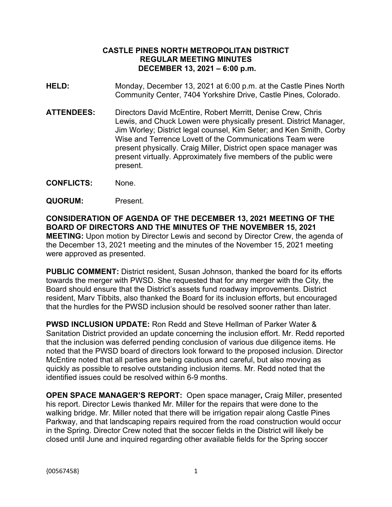## **CASTLE PINES NORTH METROPOLITAN DISTRICT REGULAR MEETING MINUTES DECEMBER 13, 2021 – 6:00 p.m.**

- **HELD:** Monday, December 13, 2021 at 6:00 p.m. at the Castle Pines North Community Center, 7404 Yorkshire Drive, Castle Pines, Colorado.
- **ATTENDEES:** Directors David McEntire, Robert Merritt, Denise Crew, Chris Lewis, and Chuck Lowen were physically present. District Manager, Jim Worley; District legal counsel, Kim Seter; and Ken Smith, Corby Wise and Terrence Lovett of the Communications Team were present physically. Craig Miller, District open space manager was present virtually. Approximately five members of the public were present.
- **CONFLICTS:** None.
- **QUORUM:** Present.

**CONSIDERATION OF AGENDA OF THE DECEMBER 13, 2021 MEETING OF THE BOARD OF DIRECTORS AND THE MINUTES OF THE NOVEMBER 15, 2021 MEETING:** Upon motion by Director Lewis and second by Director Crew, the agenda of the December 13, 2021 meeting and the minutes of the November 15, 2021 meeting were approved as presented.

**PUBLIC COMMENT:** District resident, Susan Johnson, thanked the board for its efforts towards the merger with PWSD. She requested that for any merger with the City, the Board should ensure that the District's assets fund roadway improvements. District resident, Marv Tibbits, also thanked the Board for its inclusion efforts, but encouraged that the hurdles for the PWSD inclusion should be resolved sooner rather than later.

**PWSD INCLUSION UPDATE:** Ron Redd and Steve Hellman of Parker Water & Sanitation District provided an update concerning the inclusion effort. Mr. Redd reported that the inclusion was deferred pending conclusion of various due diligence items. He noted that the PWSD board of directors look forward to the proposed inclusion. Director McEntire noted that all parties are being cautious and careful, but also moving as quickly as possible to resolve outstanding inclusion items. Mr. Redd noted that the identified issues could be resolved within 6-9 months.

**OPEN SPACE MANAGER'S REPORT:** Open space manager**,** Craig Miller, presented his report. Director Lewis thanked Mr. Miller for the repairs that were done to the walking bridge. Mr. Miller noted that there will be irrigation repair along Castle Pines Parkway, and that landscaping repairs required from the road construction would occur in the Spring. Director Crew noted that the soccer fields in the District will likely be closed until June and inquired regarding other available fields for the Spring soccer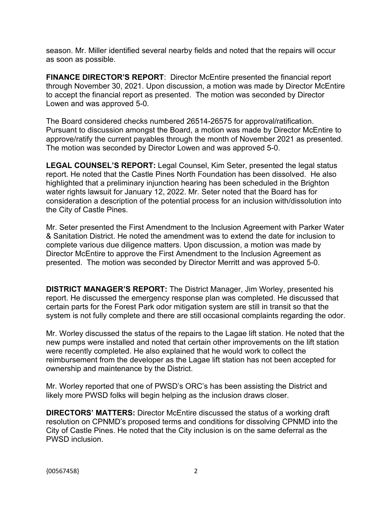season. Mr. Miller identified several nearby fields and noted that the repairs will occur as soon as possible.

**FINANCE DIRECTOR'S REPORT**: Director McEntire presented the financial report through November 30, 2021. Upon discussion, a motion was made by Director McEntire to accept the financial report as presented. The motion was seconded by Director Lowen and was approved 5-0.

The Board considered checks numbered 26514-26575 for approval/ratification. Pursuant to discussion amongst the Board, a motion was made by Director McEntire to approve/ratify the current payables through the month of November 2021 as presented. The motion was seconded by Director Lowen and was approved 5-0.

**LEGAL COUNSEL'S REPORT:** Legal Counsel, Kim Seter, presented the legal status report. He noted that the Castle Pines North Foundation has been dissolved. He also highlighted that a preliminary injunction hearing has been scheduled in the Brighton water rights lawsuit for January 12, 2022. Mr. Seter noted that the Board has for consideration a description of the potential process for an inclusion with/dissolution into the City of Castle Pines.

Mr. Seter presented the First Amendment to the Inclusion Agreement with Parker Water & Sanitation District. He noted the amendment was to extend the date for inclusion to complete various due diligence matters. Upon discussion, a motion was made by Director McEntire to approve the First Amendment to the Inclusion Agreement as presented. The motion was seconded by Director Merritt and was approved 5-0.

**DISTRICT MANAGER'S REPORT:** The District Manager, Jim Worley, presented his report. He discussed the emergency response plan was completed. He discussed that certain parts for the Forest Park odor mitigation system are still in transit so that the system is not fully complete and there are still occasional complaints regarding the odor.

Mr. Worley discussed the status of the repairs to the Lagae lift station. He noted that the new pumps were installed and noted that certain other improvements on the lift station were recently completed. He also explained that he would work to collect the reimbursement from the developer as the Lagae lift station has not been accepted for ownership and maintenance by the District.

Mr. Worley reported that one of PWSD's ORC's has been assisting the District and likely more PWSD folks will begin helping as the inclusion draws closer.

**DIRECTORS' MATTERS:** Director McEntire discussed the status of a working draft resolution on CPNMD's proposed terms and conditions for dissolving CPNMD into the City of Castle Pines. He noted that the City inclusion is on the same deferral as the PWSD inclusion.